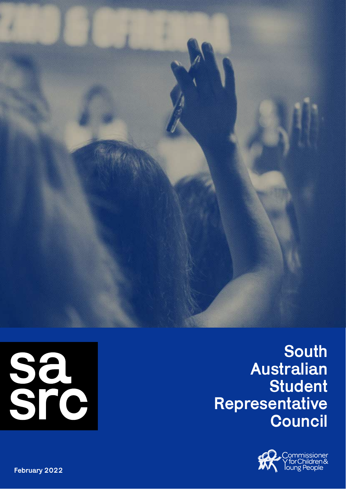



**South** Australian **Student** Representative **Council** 



February 2022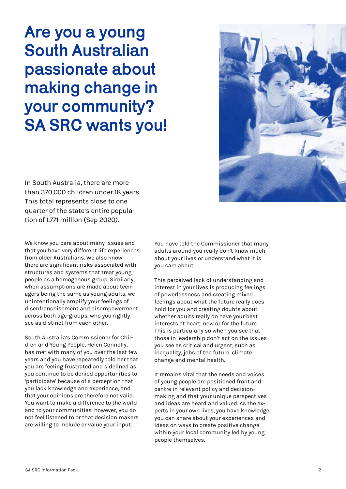Are you a young South Australian passionate about making change in your community? SA SRC wants you!

In South Australia, there are more than 370,000 children under 18 years. This total represents close to one quarter of the state's entire population of 1.771 million (Sep 2020).

We know you care about many issues and that you have very different life experiences from older Australians. We also know there are significant risks associated with structures and systems that treat young people as a homogenous group. Similarly, when assumptions are made about teenagers being the same as young adults, we unintentionally amplify your feelings of disenfranchisement and disempowerment across both age-groups, who you rightly see as distinct from each other.

South Australia's Commissioner for Children and Young People, Helen Connolly, has met with many of you over the last few years and you have repeatedly told her that you are feeling frustrated and sidelined as you continue to be denied opportunities to 'participate' because of a perception that you lack knowledge and experience, and that your opinions are therefore not valid. You want to make a difference to the world and to your communities, however, you do not feel listened to or that decision makers are willing to include or value your input.

You have told the Commissioner that many adults around you really don't know much about your lives or understand what it is you care about.

This perceived lack of understanding and interest in your lives is producing feelings of powerlessness and creating mixed feelings about what the future really does hold for you and creating doubts about whether adults really do have your best interests at heart, now or for the future. This is particularly so when you see that those in leadership don't act on the issues you see as critical and urgent, such as inequality, jobs of the future, climate change and mental health.

It remains vital that the needs and voices of young people are positioned front and centre in relevant policy and decisionmaking and that your unique perspectives and ideas are heard and valued. As the experts in your own lives, you have knowledge you can share about your experiences and ideas on ways to create positive change within your local community led by young people themselves.



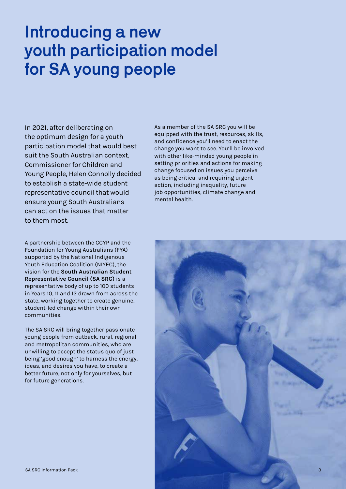### Introducing a new youth participation model for SA young people

In 2021, after deliberating on the optimum design for a youth participation model that would best suit the South Australian context, Commissioner for Children and Young People, Helen Connolly decided to establish a state-wide student representative council that would ensure young South Australians can act on the issues that matter to them most.

A partnership between the CCYP and the Foundation for Young Australians (FYA) supported by the National Indigenous Youth Education Coalition (NIYEC), the vision for the **South Australian Student Representative Council (SA SRC)** is a representative body of up to 100 students in Years 10, 11 and 12 drawn from across the state, working together to create genuine, student-led change within their own communities.

The SA SRC will bring together passionate young people from outback, rural, regional and metropolitan communities, who are unwilling to accept the status quo of just being 'good enough' to harness the energy, ideas, and desires you have, to create a better future, not only for yourselves, but for future generations.

As a member of the SA SRC you will be equipped with the trust, resources, skills, and confidence you'll need to enact the change you want to see. You'll be involved with other like-minded young people in setting priorities and actions for making change focused on issues you perceive as being critical and requiring urgent action, including inequality, future job opportunities, climate change and mental health.

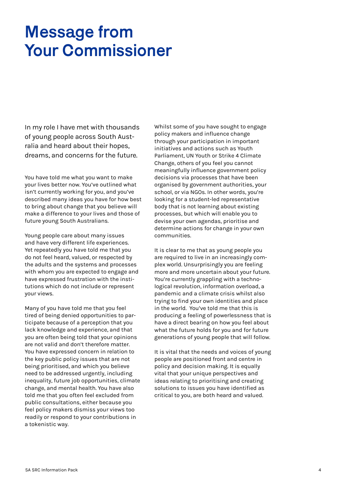## Message from Your Commissioner

In my role I have met with thousands of young people across South Australia and heard about their hopes, dreams, and concerns for the future.

You have told me what you want to make your lives better now. You've outlined what isn't currently working for you, and you've described many ideas you have for how best to bring about change that you believe will make a difference to your lives and those of future young South Australians.

Young people care about many issues and have very different life experiences. Yet repeatedly you have told me that you do not feel heard, valued, or respected by the adults and the systems and processes with whom you are expected to engage and have expressed frustration with the institutions which do not include or represent your views.

Many of you have told me that you feel tired of being denied opportunities to participate because of a perception that you lack knowledge and experience, and that you are often being told that your opinions are not valid and don't therefore matter. You have expressed concern in relation to the key public policy issues that are not being prioritised, and which you believe need to be addressed urgently, including inequality, future job opportunities, climate change, and mental health. You have also told me that you often feel excluded from public consultations, either because you feel policy makers dismiss your views too readily or respond to your contributions in a tokenistic way.

Whilst some of you have sought to engage policy makers and influence change through your participation in important initiatives and actions such as Youth Parliament, UN Youth or Strike 4 Climate Change, others of you feel you cannot meaningfully influence government policy decisions via processes that have been organised by government authorities, your school, or via NGOs. In other words, you're looking for a student-led representative body that is not learning about existing processes, but which will enable you to devise your own agendas, prioritise and determine actions for change in your own communities.

It is clear to me that as young people you are required to live in an increasingly complex world. Unsurprisingly you are feeling more and more uncertain about your future. You're currently grappling with a technological revolution, information overload, a pandemic and a climate crisis whilst also trying to find your own identities and place in the world. You've told me that this is producing a feeling of powerlessness that is have a direct bearing on how you feel about what the future holds for you and for future generations of young people that will follow.

It is vital that the needs and voices of young people are positioned front and centre in policy and decision making. It is equally vital that your unique perspectives and ideas relating to prioritising and creating solutions to issues you have identified as critical to you, are both heard and valued.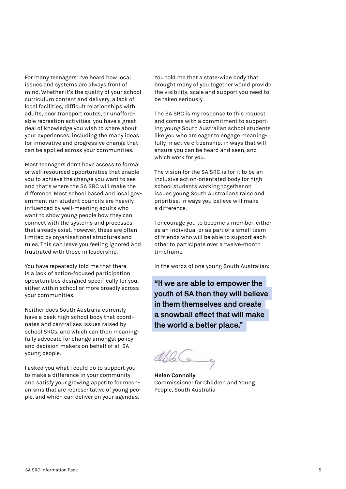For many teenagers' I've heard how local issues and systems are always front of mind. Whether it's the quality of your school curriculum content and delivery, a lack of local facilities, difficult relationships with adults, poor transport routes, or unaffordable recreation activities, you have a great deal of knowledge you wish to share about your experiences, including the many ideas for innovative and progressive change that can be applied across your communities.

Most teenagers don't have access to formal or well-resourced opportunities that enable you to achieve the change you want to see and that's where the SA SRC will make the difference. Most school based and local government run student councils are heavily influenced by well-meaning adults who want to show young people how they can connect with the systems and processes that already exist, however, these are often limited by organisational structures and rules. This can leave you feeling ignored and frustrated with those in leadership.

You have repeatedly told me that there is a lack of action-focused participation opportunities designed specifically for you, either within school or more broadly across your communities.

Neither does South Australia currently have a peak high school body that coordinates and centralises issues raised by school SRCs, and which can then meaningfully advocate for change amongst policy and decision makers on behalf of all SA young people.

I asked you what I could do to support you to make a difference in your community and satisfy your growing appetite for mechanisms that are representative of young people, and which can deliver on your agendas.

You told me that a state-wide body that brought many of you together would provide the visibility, scale and support you need to be taken seriously.

The SA SRC is my response to this request and comes with a commitment to supporting young South Australian school students like you who are eager to engage meaningfully in active citizenship, in ways that will ensure you can be heard and seen, and which work for you.

The vision for the SA SRC is for it to be an inclusive action-orientated body for high school students working together on issues young South Australians raise and prioritise, in ways you believe will make a difference.

I encourage you to become a member, either as an individual or as part of a small team of friends who will be able to support each other to participate over a twelve-month timeframe.

In the words of one young South Australian:

"If we are able to empower the youth of SA then they will believe in them themselves and create a snowball effect that will make the world a better place."

**Helen Connolly** Commissioner for Children and Young People, South Australia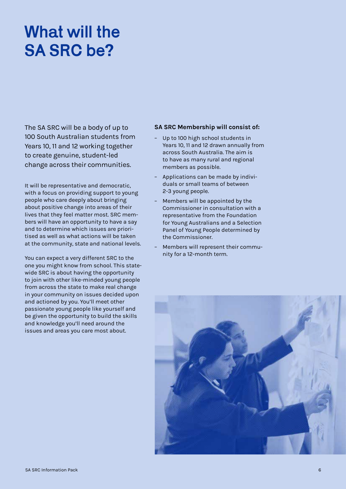# What will the SA SRC be?

The SA SRC will be a body of up to 100 South Australian students from Years 10, 11 and 12 working together to create genuine, student-led change across their communities.

It will be representative and democratic, with a focus on providing support to young people who care deeply about bringing about positive change into areas of their lives that they feel matter most. SRC members will have an opportunity to have a say and to determine which issues are prioritised as well as what actions will be taken at the community, state and national levels.

You can expect a very different SRC to the one you might know from school. This statewide SRC is about having the opportunity to join with other like-minded young people from across the state to make real change in your community on issues decided upon and actioned by you. You'll meet other passionate young people like yourself and be given the opportunity to build the skills and knowledge you'll need around the issues and areas you care most about.

#### **SA SRC Membership will consist of:**

- Up to 100 high school students in Years 10, 11 and 12 drawn annually from across South Australia. The aim is to have as many rural and regional members as possible.
- Applications can be made by individuals or small teams of between 2-3 young people.
- Members will be appointed by the Commissioner in consultation with a representative from the Foundation for Young Australians and a Selection Panel of Young People determined by the Commissioner.
- Members will represent their community for a 12-month term.

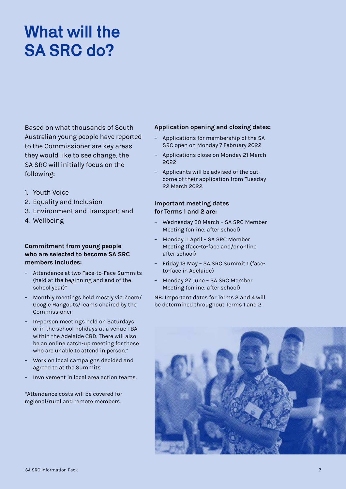# What will the SA SRC do?

Based on what thousands of South Australian young people have reported to the Commissioner are key areas they would like to see change, the SA SRC will initially focus on the following:

- 1. Youth Voice
- 2. Equality and Inclusion
- 3. Environment and Transport; and
- 4. Wellbeing

#### **Commitment from young people who are selected to become SA SRC members includes:**

- Attendance at two Face-to-Face Summits (held at the beginning and end of the school year)\*
- Monthly meetings held mostly via Zoom/ Google Hangouts/Teams chaired by the Commissioner
- In-person meetings held on Saturdays or in the school holidays at a venue TBA within the Adelaide CBD. There will also be an online catch-up meeting for those who are unable to attend in person.\*
- Work on local campaigns decided and agreed to at the Summits.
- Involvement in local area action teams.

\*Attendance costs will be covered for regional/rural and remote members.

#### **Application opening and closing dates:**

- Applications for membership of the SA SRC open on Monday 7 February 2022
- Applications close on Monday 21 March 2022
- Applicants will be advised of the outcome of their application from Tuesday 22 March 2022.

#### **Important meeting dates for Terms 1 and 2 are:**

- Wednesday 30 March SA SRC Member Meeting (online, after school)
- Monday 11 April SA SRC Member Meeting (face-to-face and/or online after school)
- Friday 13 May SA SRC Summit 1 (faceto-face in Adelaide)
- Monday 27 June SA SRC Member Meeting (online, after school)

NB: Important dates for Terms 3 and 4 will be determined throughout Terms 1 and 2.

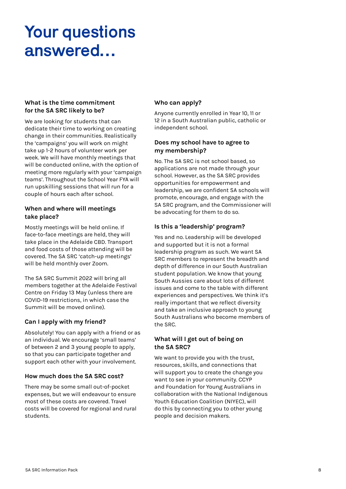## Your questions answered…

### **What is the time commitment for the SA SRC likely to be?**

We are looking for students that can dedicate their time to working on creating change in their communities. Realistically the 'campaigns' you will work on might take up 1-2 hours of volunteer work per week. We will have monthly meetings that will be conducted online, with the option of meeting more regularly with your 'campaign teams'. Throughout the School Year FYA will run upskilling sessions that will run for a couple of hours each after school.

#### **When and where will meetings take place?**

Mostly meetings will be held online. If face-to-face meetings are held, they will take place in the Adelaide CBD. Transport and food costs of those attending will be covered. The SA SRC 'catch-up meetings' will be held monthly over Zoom.

The SA SRC Summit 2022 will bring all members together at the Adelaide Festival Centre on Friday 13 May (unless there are COVID-19 restrictions, in which case the Summit will be moved online).

### **Can I apply with my friend?**

Absolutely! You can apply with a friend or as an individual. We encourage 'small teams' of between 2 and 3 young people to apply, so that you can participate together and support each other with your involvement.

#### **How much does the SA SRC cost?**

There may be some small out-of-pocket expenses, but we will endeavour to ensure most of these costs are covered. Travel costs will be covered for regional and rural students.

#### **Who can apply?**

Anyone currently enrolled in Year 10, 11 or 12 in a South Australian public, catholic or independent school.

#### **Does my school have to agree to my membership?**

No. The SA SRC is not school based, so applications are not made through your school. However, as the SA SRC provides opportunities for empowerment and leadership, we are confident SA schools will promote, encourage, and engage with the SA SRC program, and the Commissioner will be advocating for them to do so.

### **Is this a 'leadership' program?**

Yes and no. Leadership will be developed and supported but it is not a formal leadership program as such. We want SA SRC members to represent the breadth and depth of difference in our South Australian student population. We know that young South Aussies care about lots of different issues and come to the table with different experiences and perspectives. We think it's really important that we reflect diversity and take an inclusive approach to young South Australians who become members of the SRC.

### **What will I get out of being on the SA SRC?**

We want to provide you with the trust, resources, skills, and connections that will support you to create the change you want to see in your community. CCYP and Foundation for Young Australians in collaboration with the National Indigenous Youth Education Coalition (NIYEC), will do this by connecting you to other young people and decision makers.